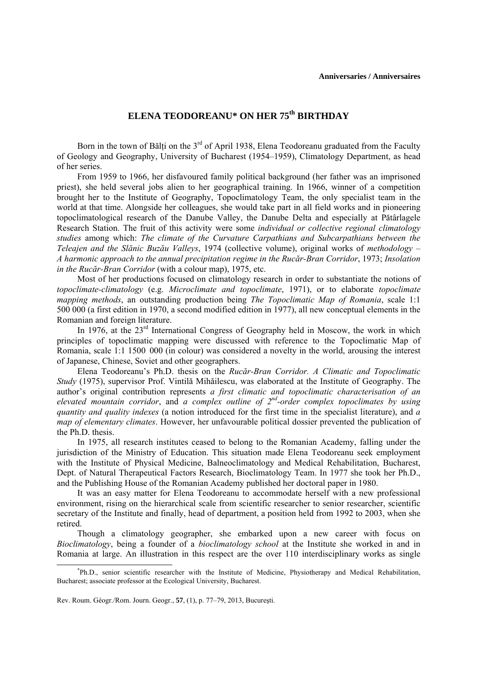## **ELENA TEODOREANU\* ON HER 75th BIRTHDAY**

Born in the town of Bălti on the  $3<sup>rd</sup>$  of April 1938, Elena Teodoreanu graduated from the Faculty of Geology and Geography, University of Bucharest (1954–1959), Climatology Department, as head of her series.

From 1959 to 1966, her disfavoured family political background (her father was an imprisoned priest), she held several jobs alien to her geographical training. In 1966, winner of a competition brought her to the Institute of Geography, Topoclimatology Team, the only specialist team in the world at that time. Alongside her colleagues, she would take part in all field works and in pioneering topoclimatological research of the Danube Valley, the Danube Delta and especially at Pătârlagele Research Station. The fruit of this activity were some *individual or collective regional climatology studies* among which: *The climate of the Curvature Carpathians and Subcarpathians between the Teleajen and the Slănic Buzău Valleys*, 1974 (collective volume), original works of *methodology* – *A harmonic approach to the annual precipitation regime in the Rucăr-Bran Corridor*, 1973; *Insolation in the Rucăr-Bran Corridor* (with a colour map), 1975, etc.

Most of her productions focused on climatology research in order to substantiate the notions of *topoclimate-climatology* (e.g. *Microclimate and topoclimate*, 1971), or to elaborate *topoclimate mapping methods*, an outstanding production being *The Topoclimatic Map of Romania*, scale 1:1 500 000 (a first edition in 1970, a second modified edition in 1977), all new conceptual elements in the Romanian and foreign literature.

In 1976, at the 23<sup>rd</sup> International Congress of Geography held in Moscow, the work in which principles of topoclimatic mapping were discussed with reference to the Topoclimatic Map of Romania, scale 1:1 1500 000 (in colour) was considered a novelty in the world, arousing the interest of Japanese, Chinese, Soviet and other geographers.

Elena Teodoreanu's Ph.D. thesis on the *Rucăr-Bran Corridor. A Climatic and Topoclimatic Study* (1975), supervisor Prof. Vintilă Mihăilescu, was elaborated at the Institute of Geography. The author's original contribution represents *a first climatic and topoclimatic characterisation of an elevated mountain corridor*, and *a complex outline of 2nd-order complex topoclimates by using quantity and quality indexes* (a notion introduced for the first time in the specialist literature), and *a map of elementary climates*. However, her unfavourable political dossier prevented the publication of the Ph.D. thesis.

In 1975, all research institutes ceased to belong to the Romanian Academy, falling under the jurisdiction of the Ministry of Education. This situation made Elena Teodoreanu seek employment with the Institute of Physical Medicine, Balneoclimatology and Medical Rehabilitation, Bucharest, Dept. of Natural Therapeutical Factors Research, Bioclimatology Team. In 1977 she took her Ph.D., and the Publishing House of the Romanian Academy published her doctoral paper in 1980.

It was an easy matter for Elena Teodoreanu to accommodate herself with a new professional environment, rising on the hierarchical scale from scientific researcher to senior researcher, scientific secretary of the Institute and finally, head of department, a position held from 1992 to 2003, when she retired.

Though a climatology geographer, she embarked upon a new career with focus on *Bioclimatology*, being a founder of a *bioclimatology school* at the Institute she worked in and in Romania at large. An illustration in this respect are the over 110 interdisciplinary works as single

 $\overline{\phantom{a}}$ Ph.D., senior scientific researcher with the Institute of Medicine, Physiotherapy and Medical Rehabilitation, Bucharest; associate professor at the Ecological University, Bucharest.

Rev. Roum. Géogr./Rom. Journ. Geogr., **57**, (1), p. 77–79, 2013, Bucureşti.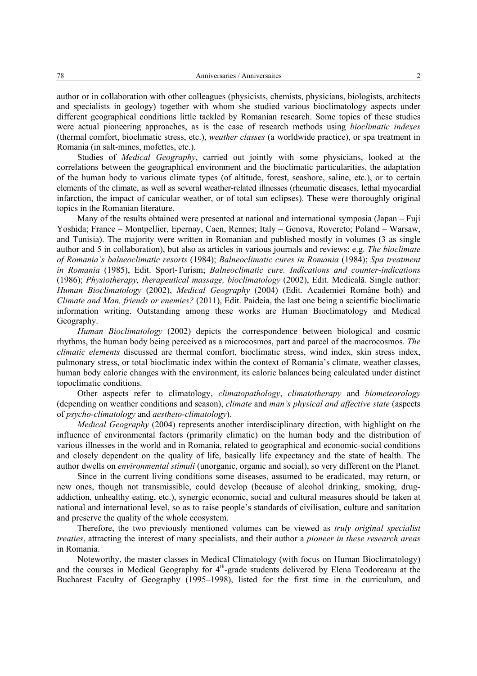author or in collaboration with other colleagues (physicists, chemists, physicians, biologists, architects and specialists in geology) together with whom she studied various bioclimatology aspects under different geographical conditions little tackled by Romanian research. Some topics of these studies were actual pioneering approaches, as is the case of research methods using *bioclimatic indexes* (thermal comfort, bioclimatic stress, etc.), *weather classes* (a worldwide practice), or spa treatment in Romania (in salt-mines, mofettes, etc.).

Studies of *Medical Geography*, carried out jointly with some physicians, looked at the correlations between the geographical environment and the bioclimatic particularities, the adaptation of the human body to various climate types (of altitude, forest, seashore, saline, etc.), or to certain elements of the climate, as well as several weather-related illnesses (rheumatic diseases, lethal myocardial infarction, the impact of canicular weather, or of total sun eclipses). These were thoroughly original topics in the Romanian literature.

Many of the results obtained were presented at national and international symposia (Japan – Fuji Yoshida; France – Montpellier, Epernay, Caen, Rennes; Italy – Genova, Rovereto; Poland – Warsaw, and Tunisia). The majority were written in Romanian and published mostly in volumes (3 as single author and 5 in collaboration), but also as articles in various journals and reviews: e.g. *The bioclimate of Romania's balneoclimatic resorts* (1984); *Balneoclimatic cures in Romania* (1984); *Spa treatment in Romania* (1985), Edit. Sport-Turism; *Balneoclimatic cure. Indications and counter-indications* (1986); *Physiotherapy, therapeutical massage, bioclimatology* (2002), Edit. Medicală. Single author: *Human Bioclimatology* (2002), *Medical Geography* (2004) (Edit. Academiei Române both) and *Climate and Man, friends or enemies?* (2011), Edit. Paideia, the last one being a scientific bioclimatic information writing. Outstanding among these works are Human Bioclimatology and Medical Geography.

*Human Bioclimatology* (2002) depicts the correspondence between biological and cosmic rhythms, the human body being perceived as a microcosmos, part and parcel of the macrocosmos. *The climatic elements* discussed are thermal comfort, bioclimatic stress, wind index, skin stress index, pulmonary stress, or total bioclimatic index within the context of Romania's climate, weather classes, human body caloric changes with the environment, its caloric balances being calculated under distinct topoclimatic conditions.

Other aspects refer to climatology, *climatopathology*, *climatotherapy* and *biometeorology* (depending on weather conditions and season), *climate* and *man's physical and affective state* (aspects of *psycho-climatology* and *aestheto-climatology*).

*Medical Geography* (2004) represents another interdisciplinary direction, with highlight on the influence of environmental factors (primarily climatic) on the human body and the distribution of various illnesses in the world and in Romania, related to geographical and economic-social conditions and closely dependent on the quality of life, basically life expectancy and the state of health. The author dwells on *environmental stimuli* (unorganic, organic and social), so very different on the Planet.

Since in the current living conditions some diseases, assumed to be eradicated, may return, or new ones, though not transmissible, could develop (because of alcohol drinking, smoking, drugaddiction, unhealthy eating, etc.), synergic economic, social and cultural measures should be taken at national and international level, so as to raise people's standards of civilisation, culture and sanitation and preserve the quality of the whole ecosystem.

Therefore, the two previously mentioned volumes can be viewed as *truly original specialist treaties*, attracting the interest of many specialists, and their author a *pioneer in these research areas* in Romania.

Noteworthy, the master classes in Medical Climatology (with focus on Human Bioclimatology) and the courses in Medical Geography for  $4<sup>th</sup>$ -grade students delivered by Elena Teodoreanu at the Bucharest Faculty of Geography (1995–1998), listed for the first time in the curriculum, and